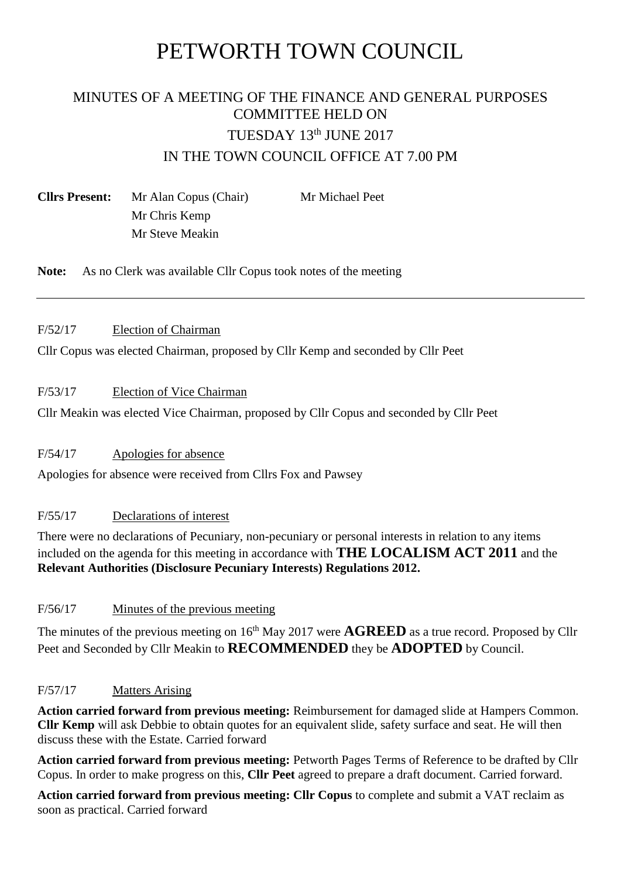# PETWORTH TOWN COUNCIL

## MINUTES OF A MEETING OF THE FINANCE AND GENERAL PURPOSES COMMITTEE HELD ON TUESDAY 13th JUNE 2017 IN THE TOWN COUNCIL OFFICE AT 7.00 PM

**Cllrs Present:** Mr Alan Copus (Chair) Mr Michael Peet Mr Chris Kemp Mr Steve Meakin

**Note:** As no Clerk was available Cllr Copus took notes of the meeting

#### F/52/17 Election of Chairman

Cllr Copus was elected Chairman, proposed by Cllr Kemp and seconded by Cllr Peet

#### F/53/17 Election of Vice Chairman

Cllr Meakin was elected Vice Chairman, proposed by Cllr Copus and seconded by Cllr Peet

#### F/54/17 Apologies for absence

Apologies for absence were received from Cllrs Fox and Pawsey

#### F/55/17 Declarations of interest

There were no declarations of Pecuniary, non-pecuniary or personal interests in relation to any items included on the agenda for this meeting in accordance with **THE LOCALISM ACT 2011** and the **Relevant Authorities (Disclosure Pecuniary Interests) Regulations 2012.**

#### F/56/17 Minutes of the previous meeting

The minutes of the previous meeting on 16<sup>th</sup> May 2017 were **AGREED** as a true record. Proposed by Cllr Peet and Seconded by Cllr Meakin to **RECOMMENDED** they be **ADOPTED** by Council.

#### F/57/17 Matters Arising

**Action carried forward from previous meeting:** Reimbursement for damaged slide at Hampers Common. **Cllr Kemp** will ask Debbie to obtain quotes for an equivalent slide, safety surface and seat. He will then discuss these with the Estate. Carried forward

**Action carried forward from previous meeting:** Petworth Pages Terms of Reference to be drafted by Cllr Copus. In order to make progress on this, **Cllr Peet** agreed to prepare a draft document. Carried forward.

**Action carried forward from previous meeting: Cllr Copus** to complete and submit a VAT reclaim as soon as practical. Carried forward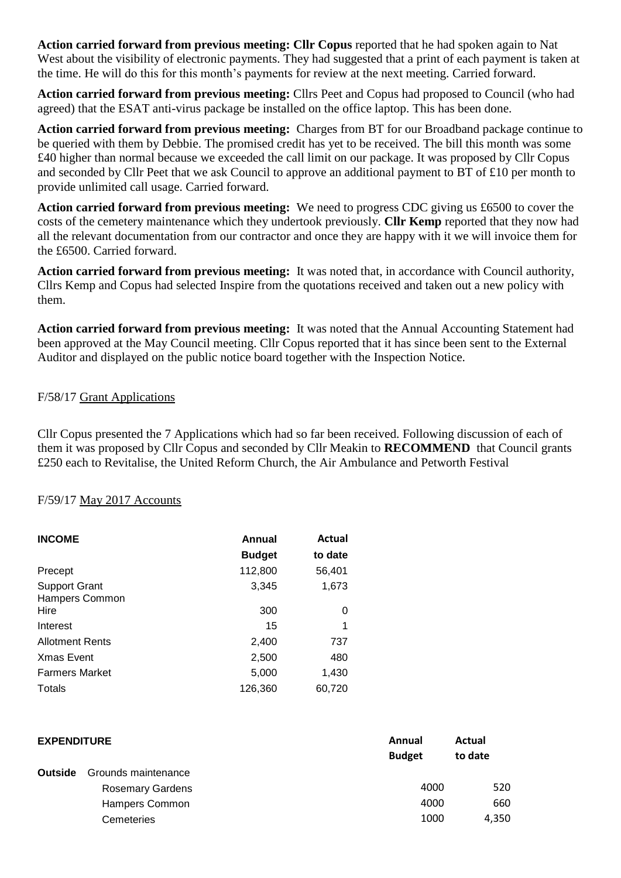**Action carried forward from previous meeting: Cllr Copus** reported that he had spoken again to Nat West about the visibility of electronic payments. They had suggested that a print of each payment is taken at the time. He will do this for this month's payments for review at the next meeting. Carried forward.

**Action carried forward from previous meeting:** Cllrs Peet and Copus had proposed to Council (who had agreed) that the ESAT anti-virus package be installed on the office laptop. This has been done.

**Action carried forward from previous meeting:** Charges from BT for our Broadband package continue to be queried with them by Debbie. The promised credit has yet to be received. The bill this month was some £40 higher than normal because we exceeded the call limit on our package. It was proposed by Cllr Copus and seconded by Cllr Peet that we ask Council to approve an additional payment to BT of £10 per month to provide unlimited call usage. Carried forward.

**Action carried forward from previous meeting:** We need to progress CDC giving us £6500 to cover the costs of the cemetery maintenance which they undertook previously. **Cllr Kemp** reported that they now had all the relevant documentation from our contractor and once they are happy with it we will invoice them for the £6500. Carried forward.

**Action carried forward from previous meeting:** It was noted that, in accordance with Council authority, Cllrs Kemp and Copus had selected Inspire from the quotations received and taken out a new policy with them.

**Action carried forward from previous meeting:** It was noted that the Annual Accounting Statement had been approved at the May Council meeting. Cllr Copus reported that it has since been sent to the External Auditor and displayed on the public notice board together with the Inspection Notice.

#### F/58/17 Grant Applications

Cllr Copus presented the 7 Applications which had so far been received. Following discussion of each of them it was proposed by Cllr Copus and seconded by Cllr Meakin to **RECOMMEND** that Council grants £250 each to Revitalise, the United Reform Church, the Air Ambulance and Petworth Festival

#### F/59/17 May 2017 Accounts

| <b>INCOME</b>                          | Annual        | Actual  |  |
|----------------------------------------|---------------|---------|--|
|                                        | <b>Budget</b> | to date |  |
| Precept                                | 112,800       | 56,401  |  |
| <b>Support Grant</b><br>Hampers Common | 3,345         | 1,673   |  |
| Hire                                   | 300           | 0       |  |
| Interest                               | 15            | 1       |  |
| <b>Allotment Rents</b>                 | 2,400         | 737     |  |
| <b>Xmas Event</b>                      | 2,500         | 480     |  |
| <b>Farmers Market</b>                  | 5,000         | 1,430   |  |
| Totals                                 | 126,360       | 60,720  |  |

| <b>EXPENDITURE</b> |                         | Annual<br><b>Budget</b> | Actual<br>to date |
|--------------------|-------------------------|-------------------------|-------------------|
| <b>Outside</b>     | Grounds maintenance     |                         |                   |
|                    | <b>Rosemary Gardens</b> | 4000                    | 520               |
|                    | Hampers Common          | 4000                    | 660               |
|                    | Cemeteries              | 1000                    | 4,350             |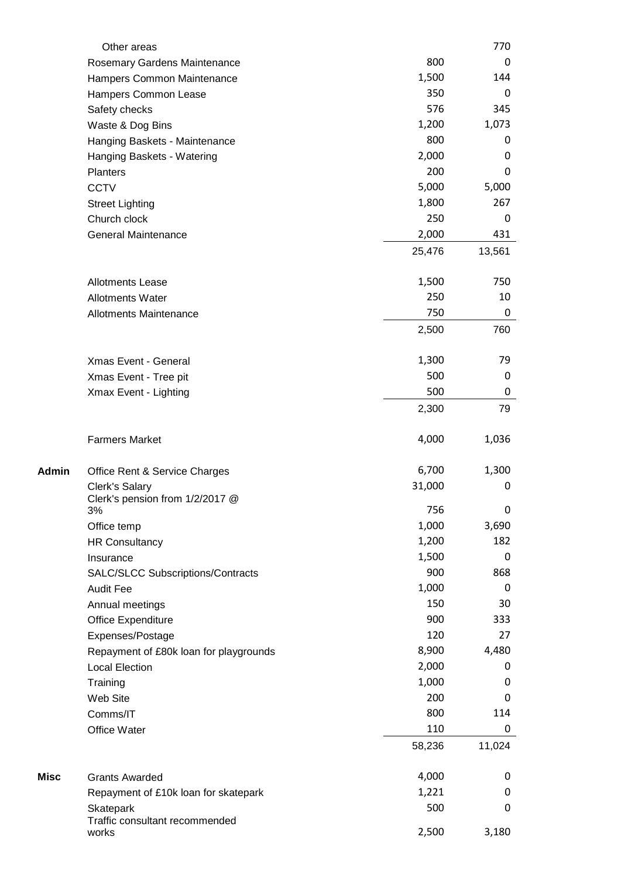|       | Other areas                                 |               | 770         |
|-------|---------------------------------------------|---------------|-------------|
|       | Rosemary Gardens Maintenance                | 800           | 0           |
|       | Hampers Common Maintenance                  | 1,500         | 144         |
|       | Hampers Common Lease                        | 350           | 0           |
|       | Safety checks                               | 576           | 345         |
|       | Waste & Dog Bins                            | 1,200         | 1,073       |
|       | Hanging Baskets - Maintenance               | 800           | 0           |
|       | Hanging Baskets - Watering                  | 2,000         | 0           |
|       | <b>Planters</b>                             | 200           | 0           |
|       | <b>CCTV</b>                                 | 5,000         | 5,000       |
|       | <b>Street Lighting</b>                      | 1,800         | 267         |
|       | Church clock                                | 250           | 0           |
|       | <b>General Maintenance</b>                  | 2,000         | 431         |
|       |                                             | 25,476        | 13,561      |
|       | <b>Allotments Lease</b>                     | 1,500         | 750         |
|       | <b>Allotments Water</b>                     | 250           | 10          |
|       | <b>Allotments Maintenance</b>               | 750           | 0           |
|       |                                             | 2,500         | 760         |
|       | Xmas Event - General                        | 1,300         | 79          |
|       |                                             | 500           | 0           |
|       | Xmas Event - Tree pit                       | 500           | 0           |
|       | Xmax Event - Lighting                       | 2,300         | 79          |
|       |                                             |               |             |
|       | <b>Farmers Market</b>                       | 4,000         | 1,036       |
| Admin | Office Rent & Service Charges               | 6,700         | 1,300       |
|       | Clerk's Salary                              | 31,000        | 0           |
|       | Clerk's pension from 1/2/2017 @             |               |             |
|       | 3%                                          | 756           | 0           |
|       | Office temp                                 | 1,000         | 3,690       |
|       | <b>HR Consultancy</b>                       | 1,200         | 182         |
|       | Insurance                                   | 1,500         | $\pmb{0}$   |
|       | SALC/SLCC Subscriptions/Contracts           | 900           | 868         |
|       | <b>Audit Fee</b>                            | 1,000         | 0           |
|       | Annual meetings                             | 150           | 30          |
|       | Office Expenditure                          | 900           | 333         |
|       | Expenses/Postage                            | 120           | 27          |
|       | Repayment of £80k loan for playgrounds      | 8,900         | 4,480       |
|       | <b>Local Election</b>                       | 2,000         | 0           |
|       | Training                                    | 1,000         | 0           |
|       | Web Site                                    | 200           | 0           |
|       | Comms/IT                                    | 800           | 114         |
|       | Office Water                                | 110<br>58,236 | 0<br>11,024 |
|       |                                             |               |             |
| Misc  | <b>Grants Awarded</b>                       | 4,000         | 0           |
|       | Repayment of £10k loan for skatepark        | 1,221         | 0           |
|       | Skatepark<br>Traffic consultant recommended | 500           | 0           |
|       | works                                       | 2,500         | 3,180       |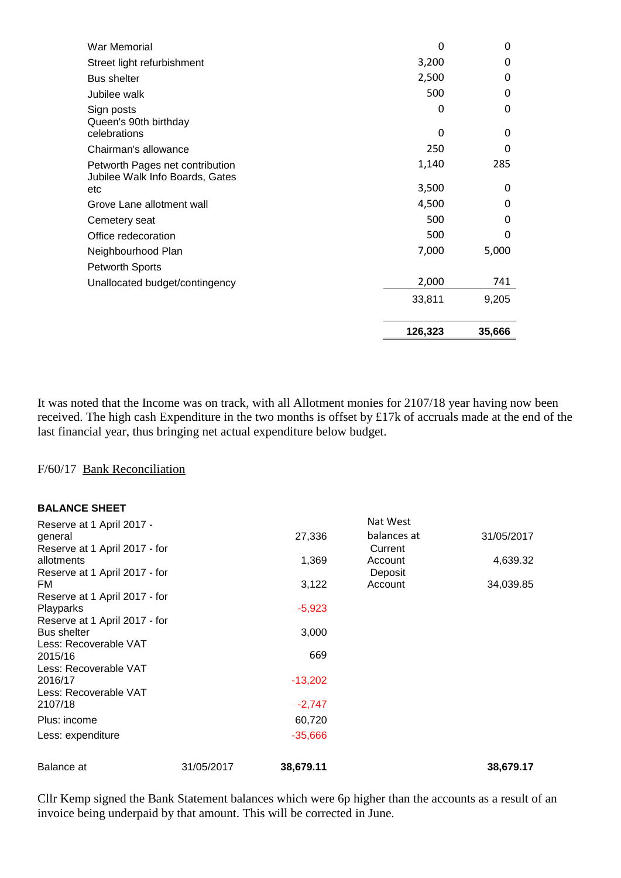| War Memorial                           | 0       | 0      |
|----------------------------------------|---------|--------|
| Street light refurbishment             | 3,200   | 0      |
| <b>Bus shelter</b>                     | 2,500   | 0      |
| Jubilee walk                           | 500     | 0      |
| Sign posts<br>Queen's 90th birthday    | 0       | 0      |
| celebrations                           | O       | 0      |
| Chairman's allowance                   | 250     | 0      |
| Petworth Pages net contribution        | 1,140   | 285    |
| Jubilee Walk Info Boards, Gates<br>etc | 3,500   | 0      |
| Grove Lane allotment wall              | 4,500   | 0      |
| Cemetery seat                          | 500     | 0      |
| Office redecoration                    | 500     | 0      |
| Neighbourhood Plan                     | 7,000   | 5,000  |
| <b>Petworth Sports</b>                 |         |        |
| Unallocated budget/contingency         | 2,000   | 741    |
|                                        | 33,811  | 9,205  |
|                                        | 126,323 | 35,666 |

It was noted that the Income was on track, with all Allotment monies for 2107/18 year having now been received. The high cash Expenditure in the two months is offset by £17k of accruals made at the end of the last financial year, thus bringing net actual expenditure below budget.

#### F/60/17 Bank Reconciliation

#### **BALANCE SHEET**

| Reserve at 1 April 2017 -     |            |           | Nat West    |            |
|-------------------------------|------------|-----------|-------------|------------|
| general                       |            | 27,336    | balances at | 31/05/2017 |
| Reserve at 1 April 2017 - for |            |           | Current     |            |
| allotments                    |            | 1,369     | Account     | 4,639.32   |
| Reserve at 1 April 2017 - for |            |           | Deposit     |            |
| FM.                           |            | 3,122     | Account     | 34,039.85  |
| Reserve at 1 April 2017 - for |            |           |             |            |
| Playparks                     |            | $-5,923$  |             |            |
| Reserve at 1 April 2017 - for |            |           |             |            |
| <b>Bus shelter</b>            |            | 3,000     |             |            |
| Less: Recoverable VAT         |            |           |             |            |
| 2015/16                       |            | 669       |             |            |
| Less: Recoverable VAT         |            |           |             |            |
| 2016/17                       |            | $-13,202$ |             |            |
| Less: Recoverable VAT         |            |           |             |            |
| 2107/18                       |            | $-2,747$  |             |            |
| Plus: income                  |            | 60,720    |             |            |
| Less: expenditure             |            | $-35,666$ |             |            |
| Balance at                    | 31/05/2017 | 38,679.11 |             | 38,679.17  |

Cllr Kemp signed the Bank Statement balances which were 6p higher than the accounts as a result of an invoice being underpaid by that amount. This will be corrected in June.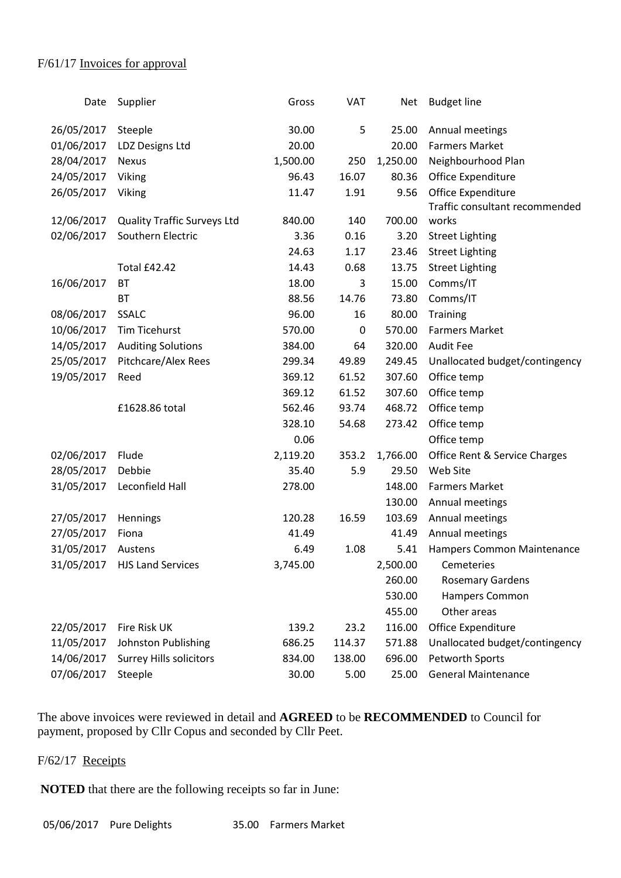#### F/61/17 Invoices for approval

| Date       | Supplier                           | Gross    | VAT    | <b>Net</b> | <b>Budget line</b>             |
|------------|------------------------------------|----------|--------|------------|--------------------------------|
| 26/05/2017 | Steeple                            | 30.00    | 5      | 25.00      | Annual meetings                |
| 01/06/2017 | LDZ Designs Ltd                    | 20.00    |        | 20.00      | <b>Farmers Market</b>          |
| 28/04/2017 | <b>Nexus</b>                       | 1,500.00 | 250    | 1,250.00   | Neighbourhood Plan             |
| 24/05/2017 | Viking                             | 96.43    | 16.07  | 80.36      | Office Expenditure             |
| 26/05/2017 | Viking                             | 11.47    | 1.91   | 9.56       | Office Expenditure             |
|            |                                    |          |        |            | Traffic consultant recommended |
| 12/06/2017 | <b>Quality Traffic Surveys Ltd</b> | 840.00   | 140    | 700.00     | works                          |
| 02/06/2017 | Southern Electric                  | 3.36     | 0.16   | 3.20       | <b>Street Lighting</b>         |
|            |                                    | 24.63    | 1.17   | 23.46      | <b>Street Lighting</b>         |
|            | <b>Total £42.42</b>                | 14.43    | 0.68   | 13.75      | <b>Street Lighting</b>         |
| 16/06/2017 | <b>BT</b>                          | 18.00    | 3      | 15.00      | Comms/IT                       |
|            | <b>BT</b>                          | 88.56    | 14.76  | 73.80      | Comms/IT                       |
| 08/06/2017 | <b>SSALC</b>                       | 96.00    | 16     | 80.00      | <b>Training</b>                |
| 10/06/2017 | <b>Tim Ticehurst</b>               | 570.00   | 0      | 570.00     | <b>Farmers Market</b>          |
| 14/05/2017 | <b>Auditing Solutions</b>          | 384.00   | 64     | 320.00     | <b>Audit Fee</b>               |
| 25/05/2017 | Pitchcare/Alex Rees                | 299.34   | 49.89  | 249.45     | Unallocated budget/contingency |
| 19/05/2017 | Reed                               | 369.12   | 61.52  | 307.60     | Office temp                    |
|            |                                    | 369.12   | 61.52  | 307.60     | Office temp                    |
|            | £1628.86 total                     | 562.46   | 93.74  | 468.72     | Office temp                    |
|            |                                    | 328.10   | 54.68  | 273.42     | Office temp                    |
|            |                                    | 0.06     |        |            | Office temp                    |
| 02/06/2017 | Flude                              | 2,119.20 | 353.2  | 1,766.00   | Office Rent & Service Charges  |
| 28/05/2017 | Debbie                             | 35.40    | 5.9    | 29.50      | Web Site                       |
| 31/05/2017 | Leconfield Hall                    | 278.00   |        | 148.00     | <b>Farmers Market</b>          |
|            |                                    |          |        | 130.00     | Annual meetings                |
| 27/05/2017 | Hennings                           | 120.28   | 16.59  | 103.69     | Annual meetings                |
| 27/05/2017 | Fiona                              | 41.49    |        | 41.49      | Annual meetings                |
| 31/05/2017 | Austens                            | 6.49     | 1.08   | 5.41       | Hampers Common Maintenance     |
|            | 31/05/2017 HJS Land Services       | 3,745.00 |        | 2,500.00   | Cemeteries                     |
|            |                                    |          |        | 260.00     | <b>Rosemary Gardens</b>        |
|            |                                    |          |        | 530.00     | Hampers Common                 |
|            |                                    |          |        | 455.00     | Other areas                    |
| 22/05/2017 | Fire Risk UK                       | 139.2    | 23.2   | 116.00     | Office Expenditure             |
| 11/05/2017 | Johnston Publishing                | 686.25   | 114.37 | 571.88     | Unallocated budget/contingency |
| 14/06/2017 | <b>Surrey Hills solicitors</b>     | 834.00   | 138.00 | 696.00     | Petworth Sports                |
| 07/06/2017 | Steeple                            | 30.00    | 5.00   | 25.00      | <b>General Maintenance</b>     |
|            |                                    |          |        |            |                                |

The above invoices were reviewed in detail and **AGREED** to be **RECOMMENDED** to Council for payment, proposed by Cllr Copus and seconded by Cllr Peet.

### F/62/17 Receipts

**NOTED** that there are the following receipts so far in June:

05/06/2017 Pure Delights 35.00 Farmers Market